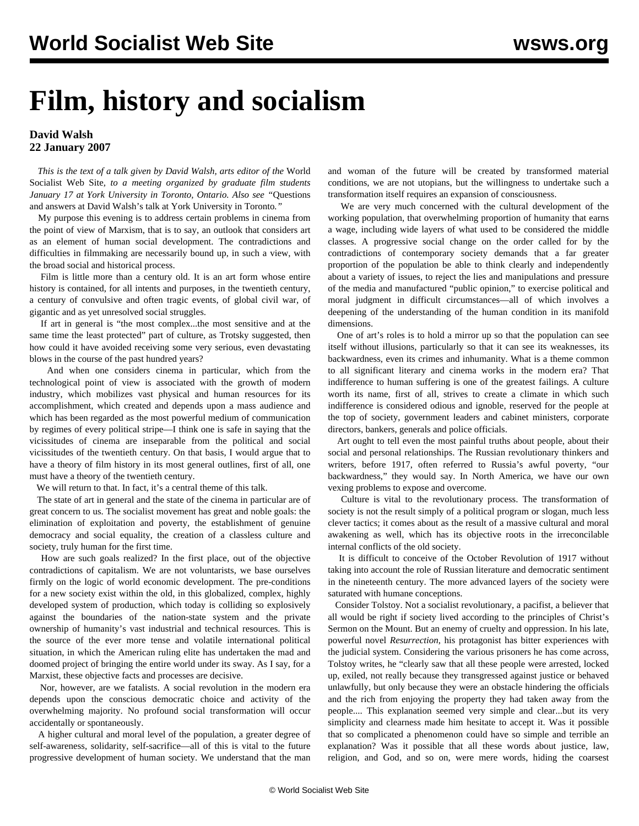## **Film, history and socialism**

## **David Walsh 22 January 2007**

 *This is the text of a talk given by David Walsh, arts editor of the* World Socialist Web Site*, to a meeting organized by graduate film students January 17 at York University in Toronto, Ontario. Also see "*[Questions](/en/articles/2007/jan2007/ques-j23.shtml) [and answers at David Walsh's talk at York University in Toronto](/en/articles/2007/jan2007/ques-j23.shtml)*."*

 My purpose this evening is to address certain problems in cinema from the point of view of Marxism, that is to say, an outlook that considers art as an element of human social development. The contradictions and difficulties in filmmaking are necessarily bound up, in such a view, with the broad social and historical process.

 Film is little more than a century old. It is an art form whose entire history is contained, for all intents and purposes, in the twentieth century, a century of convulsive and often tragic events, of global civil war, of gigantic and as yet unresolved social struggles.

 If art in general is "the most complex...the most sensitive and at the same time the least protected" part of culture, as Trotsky suggested, then how could it have avoided receiving some very serious, even devastating blows in the course of the past hundred years?

 And when one considers cinema in particular, which from the technological point of view is associated with the growth of modern industry, which mobilizes vast physical and human resources for its accomplishment, which created and depends upon a mass audience and which has been regarded as the most powerful medium of communication by regimes of every political stripe—I think one is safe in saying that the vicissitudes of cinema are inseparable from the political and social vicissitudes of the twentieth century. On that basis, I would argue that to have a theory of film history in its most general outlines, first of all, one must have a theory of the twentieth century.

We will return to that. In fact, it's a central theme of this talk.

 The state of art in general and the state of the cinema in particular are of great concern to us. The socialist movement has great and noble goals: the elimination of exploitation and poverty, the establishment of genuine democracy and social equality, the creation of a classless culture and society, truly human for the first time.

 How are such goals realized? In the first place, out of the objective contradictions of capitalism. We are not voluntarists, we base ourselves firmly on the logic of world economic development. The pre-conditions for a new society exist within the old, in this globalized, complex, highly developed system of production, which today is colliding so explosively against the boundaries of the nation-state system and the private ownership of humanity's vast industrial and technical resources. This is the source of the ever more tense and volatile international political situation, in which the American ruling elite has undertaken the mad and doomed project of bringing the entire world under its sway. As I say, for a Marxist, these objective facts and processes are decisive.

 Nor, however, are we fatalists. A social revolution in the modern era depends upon the conscious democratic choice and activity of the overwhelming majority. No profound social transformation will occur accidentally or spontaneously.

 A higher cultural and moral level of the population, a greater degree of self-awareness, solidarity, self-sacrifice—all of this is vital to the future progressive development of human society. We understand that the man and woman of the future will be created by transformed material conditions, we are not utopians, but the willingness to undertake such a transformation itself requires an expansion of consciousness.

 We are very much concerned with the cultural development of the working population, that overwhelming proportion of humanity that earns a wage, including wide layers of what used to be considered the middle classes. A progressive social change on the order called for by the contradictions of contemporary society demands that a far greater proportion of the population be able to think clearly and independently about a variety of issues, to reject the lies and manipulations and pressure of the media and manufactured "public opinion," to exercise political and moral judgment in difficult circumstances—all of which involves a deepening of the understanding of the human condition in its manifold dimensions.

 One of art's roles is to hold a mirror up so that the population can see itself without illusions, particularly so that it can see its weaknesses, its backwardness, even its crimes and inhumanity. What is a theme common to all significant literary and cinema works in the modern era? That indifference to human suffering is one of the greatest failings. A culture worth its name, first of all, strives to create a climate in which such indifference is considered odious and ignoble, reserved for the people at the top of society, government leaders and cabinet ministers, corporate directors, bankers, generals and police officials.

 Art ought to tell even the most painful truths about people, about their social and personal relationships. The Russian revolutionary thinkers and writers, before 1917, often referred to Russia's awful poverty, "our backwardness," they would say. In North America, we have our own vexing problems to expose and overcome.

 Culture is vital to the revolutionary process. The transformation of society is not the result simply of a political program or slogan, much less clever tactics; it comes about as the result of a massive cultural and moral awakening as well, which has its objective roots in the irreconcilable internal conflicts of the old society.

 It is difficult to conceive of the October Revolution of 1917 without taking into account the role of Russian literature and democratic sentiment in the nineteenth century. The more advanced layers of the society were saturated with humane conceptions.

 Consider Tolstoy. Not a socialist revolutionary, a pacifist, a believer that all would be right if society lived according to the principles of Christ's Sermon on the Mount. But an enemy of cruelty and oppression. In his late, powerful novel *Resurrection*, his protagonist has bitter experiences with the judicial system. Considering the various prisoners he has come across, Tolstoy writes, he "clearly saw that all these people were arrested, locked up, exiled, not really because they transgressed against justice or behaved unlawfully, but only because they were an obstacle hindering the officials and the rich from enjoying the property they had taken away from the people.... This explanation seemed very simple and clear...but its very simplicity and clearness made him hesitate to accept it. Was it possible that so complicated a phenomenon could have so simple and terrible an explanation? Was it possible that all these words about justice, law, religion, and God, and so on, were mere words, hiding the coarsest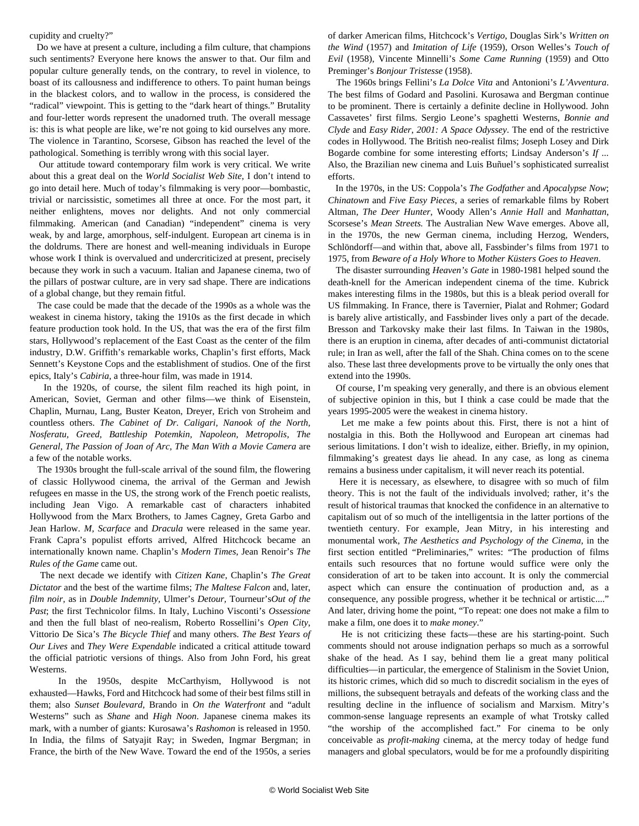## cupidity and cruelty?"

 Do we have at present a culture, including a film culture, that champions such sentiments? Everyone here knows the answer to that. Our film and popular culture generally tends, on the contrary, to revel in violence, to boast of its callousness and indifference to others. To paint human beings in the blackest colors, and to wallow in the process, is considered the "radical" viewpoint. This is getting to the "dark heart of things." Brutality and four-letter words represent the unadorned truth. The overall message is: this is what people are like, we're not going to kid ourselves any more. The violence in Tarantino, Scorsese, Gibson has reached the level of the pathological. Something is terribly wrong with this social layer.

 Our attitude toward contemporary film work is very critical. We write about this a great deal on the *World Socialist Web Site*, I don't intend to go into detail here. Much of today's filmmaking is very poor—bombastic, trivial or narcissistic, sometimes all three at once. For the most part, it neither enlightens, moves nor delights. And not only commercial filmmaking. American (and Canadian) "independent" cinema is very weak, by and large, amorphous, self-indulgent. European art cinema is in the doldrums. There are honest and well-meaning individuals in Europe whose work I think is overvalued and undercriticized at present, precisely because they work in such a vacuum. Italian and Japanese cinema, two of the pillars of postwar culture, are in very sad shape. There are indications of a global change, but they remain fitful.

 The case could be made that the decade of the 1990s as a whole was the weakest in cinema history, taking the 1910s as the first decade in which feature production took hold. In the US, that was the era of the first film stars, Hollywood's replacement of the East Coast as the center of the film industry, D.W. Griffith's remarkable works, Chaplin's first efforts, Mack Sennett's Keystone Cops and the establishment of studios. One of the first epics, Italy's *Cabiria*, a three-hour film, was made in 1914.

 In the 1920s, of course, the silent film reached its high point, in American, Soviet, German and other films—we think of Eisenstein, Chaplin, Murnau, Lang, Buster Keaton, Dreyer, Erich von Stroheim and countless others. *The Cabinet of Dr. Caligari, Nanook of the North, Nosferatu, Greed, Battleship Potemkin, Napoleon, Metropolis, The General, The Passion of Joan of Arc, The Man With a Movie Camera* are a few of the notable works.

 The 1930s brought the full-scale arrival of the sound film, the flowering of classic Hollywood cinema, the arrival of the German and Jewish refugees en masse in the US, the strong work of the French poetic realists, including Jean Vigo. A remarkable cast of characters inhabited Hollywood from the Marx Brothers, to James Cagney, Greta Garbo and Jean Harlow. *M, Scarface* and *Dracula* were released in the same year. Frank Capra's populist efforts arrived, Alfred Hitchcock became an internationally known name. Chaplin's *Modern Times*, Jean Renoir's *The Rules of the Game* came out.

 The next decade we identify with *Citizen Kane*, Chaplin's *The Great Dictator* and the best of the wartime films; *The Maltese Falcon* and, later, *film noir,* as in *Double Indemnity,* Ulmer's *Detour,* Tourneur's*Out of the Past*; the first Technicolor films. In Italy, Luchino Visconti's *Ossessione* and then the full blast of neo-realism, Roberto Rossellini's *Open City*, Vittorio De Sica's *The Bicycle Thief* and many others. *The Best Years of Our Lives* and *They Were Expendable* indicated a critical attitude toward the official patriotic versions of things. Also from John Ford, his great Westerns.

 In the 1950s, despite McCarthyism, Hollywood is not exhausted—Hawks, Ford and Hitchcock had some of their best films still in them; also *Sunset Boulevard,* Brando in *On the Waterfront* and "adult Westerns" such as *Shane* and *High Noon*. Japanese cinema makes its mark, with a number of giants: Kurosawa's *Rashomon* is released in 1950. In India, the films of Satyajit Ray; in Sweden, Ingmar Bergman; in France, the birth of the New Wave. Toward the end of the 1950s, a series

of darker American films, Hitchcock's *Vertigo*, Douglas Sirk's *Written on the Wind* (1957) and *Imitation of Life* (1959), Orson Welles's *Touch of Evil* (1958), Vincente Minnelli's *Some Came Running* (1959) and Otto Preminger's *Bonjour Tristesse* (1958).

 The 1960s brings Fellini's *La Dolce Vita* and Antonioni's *L'Avventura*. The best films of Godard and Pasolini. Kurosawa and Bergman continue to be prominent. There is certainly a definite decline in Hollywood. John Cassavetes' first films. Sergio Leone's spaghetti Westerns, *Bonnie and Clyde* and *Easy Rider*, *2001: A Space Odyssey*. The end of the restrictive codes in Hollywood. The British neo-realist films; Joseph Losey and Dirk Bogarde combine for some interesting efforts; Lindsay Anderson's *If ...* Also, the Brazilian new cinema and Luis Buñuel's sophisticated surrealist efforts.

 In the 1970s, in the US: Coppola's *The Godfather* and *Apocalypse Now*; *Chinatown* and *Five Easy Pieces*, a series of remarkable films by Robert Altman, *The Deer Hunter*, Woody Allen's *Annie Hall* and *Manhattan*, Scorsese's *Mean Streets.* The Australian New Wave emerges. Above all, in the 1970s, the new German cinema, including Herzog, Wenders, Schlöndorff—and within that, above all, Fassbinder's films from 1971 to 1975, from *Beware of a Holy Whore* to *Mother Küsters Goes to Heaven*.

 The disaster surrounding *Heaven's Gate* in 1980-1981 helped sound the death-knell for the American independent cinema of the time. Kubrick makes interesting films in the 1980s, but this is a bleak period overall for US filmmaking. In France, there is Tavernier, Pialat and Rohmer; Godard is barely alive artistically, and Fassbinder lives only a part of the decade. Bresson and Tarkovsky make their last films. In Taiwan in the 1980s, there is an eruption in cinema, after decades of anti-communist dictatorial rule; in Iran as well, after the fall of the Shah. China comes on to the scene also. These last three developments prove to be virtually the only ones that extend into the 1990s.

 Of course, I'm speaking very generally, and there is an obvious element of subjective opinion in this, but I think a case could be made that the years 1995-2005 were the weakest in cinema history.

 Let me make a few points about this. First, there is not a hint of nostalgia in this. Both the Hollywood and European art cinemas had serious limitations. I don't wish to idealize, either. Briefly, in my opinion, filmmaking's greatest days lie ahead. In any case, as long as cinema remains a business under capitalism, it will never reach its potential.

 Here it is necessary, as elsewhere, to disagree with so much of film theory. This is not the fault of the individuals involved; rather, it's the result of historical traumas that knocked the confidence in an alternative to capitalism out of so much of the intelligentsia in the latter portions of the twentieth century. For example, Jean Mitry, in his interesting and monumental work, *The Aesthetics and Psychology of the Cinema*, in the first section entitled "Preliminaries," writes: "The production of films entails such resources that no fortune would suffice were only the consideration of art to be taken into account. It is only the commercial aspect which can ensure the continuation of production and, as a consequence, any possible progress, whether it be technical or artistic...." And later, driving home the point, "To repeat: one does not make a film to make a film, one does it to *make money*."

 He is not criticizing these facts—these are his starting-point. Such comments should not arouse indignation perhaps so much as a sorrowful shake of the head. As I say, behind them lie a great many political difficulties—in particular, the emergence of Stalinism in the Soviet Union, its historic crimes, which did so much to discredit socialism in the eyes of millions, the subsequent betrayals and defeats of the working class and the resulting decline in the influence of socialism and Marxism. Mitry's common-sense language represents an example of what Trotsky called "the worship of the accomplished fact." For cinema to be only conceivable as *profit-making* cinema, at the mercy today of hedge fund managers and global speculators, would be for me a profoundly dispiriting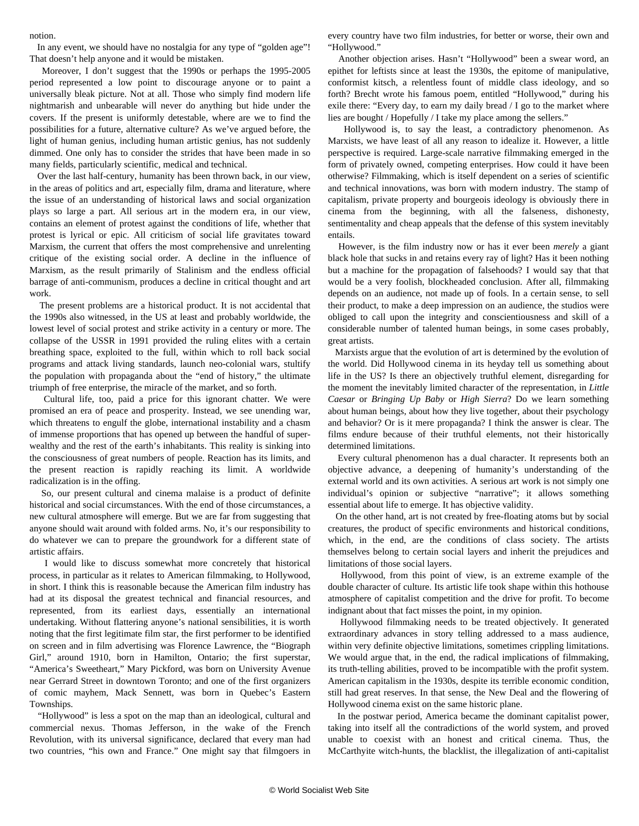notion.

 In any event, we should have no nostalgia for any type of "golden age"! That doesn't help anyone and it would be mistaken.

 Moreover, I don't suggest that the 1990s or perhaps the 1995-2005 period represented a low point to discourage anyone or to paint a universally bleak picture. Not at all. Those who simply find modern life nightmarish and unbearable will never do anything but hide under the covers. If the present is uniformly detestable, where are we to find the possibilities for a future, alternative culture? As we've argued before, the light of human genius, including human artistic genius, has not suddenly dimmed. One only has to consider the strides that have been made in so many fields, particularly scientific, medical and technical.

 Over the last half-century, humanity has been thrown back, in our view, in the areas of politics and art, especially film, drama and literature, where the issue of an understanding of historical laws and social organization plays so large a part. All serious art in the modern era, in our view, contains an element of protest against the conditions of life, whether that protest is lyrical or epic. All criticism of social life gravitates toward Marxism, the current that offers the most comprehensive and unrelenting critique of the existing social order. A decline in the influence of Marxism, as the result primarily of Stalinism and the endless official barrage of anti-communism, produces a decline in critical thought and art work.

 The present problems are a historical product. It is not accidental that the 1990s also witnessed, in the US at least and probably worldwide, the lowest level of social protest and strike activity in a century or more. The collapse of the USSR in 1991 provided the ruling elites with a certain breathing space, exploited to the full, within which to roll back social programs and attack living standards, launch neo-colonial wars, stultify the population with propaganda about the "end of history," the ultimate triumph of free enterprise, the miracle of the market, and so forth.

 Cultural life, too, paid a price for this ignorant chatter. We were promised an era of peace and prosperity. Instead, we see unending war, which threatens to engulf the globe, international instability and a chasm of immense proportions that has opened up between the handful of superwealthy and the rest of the earth's inhabitants. This reality is sinking into the consciousness of great numbers of people. Reaction has its limits, and the present reaction is rapidly reaching its limit. A worldwide radicalization is in the offing.

 So, our present cultural and cinema malaise is a product of definite historical and social circumstances. With the end of those circumstances, a new cultural atmosphere will emerge. But we are far from suggesting that anyone should wait around with folded arms. No, it's our responsibility to do whatever we can to prepare the groundwork for a different state of artistic affairs.

 I would like to discuss somewhat more concretely that historical process, in particular as it relates to American filmmaking, to Hollywood, in short. I think this is reasonable because the American film industry has had at its disposal the greatest technical and financial resources, and represented, from its earliest days, essentially an international undertaking. Without flattering anyone's national sensibilities, it is worth noting that the first legitimate film star, the first performer to be identified on screen and in film advertising was Florence Lawrence, the "Biograph Girl," around 1910, born in Hamilton, Ontario; the first superstar, "America's Sweetheart," Mary Pickford, was born on University Avenue near Gerrard Street in downtown Toronto; and one of the first organizers of comic mayhem, Mack Sennett, was born in Quebec's Eastern Townships.

 "Hollywood" is less a spot on the map than an ideological, cultural and commercial nexus. Thomas Jefferson, in the wake of the French Revolution, with its universal significance, declared that every man had two countries, "his own and France." One might say that filmgoers in

every country have two film industries, for better or worse, their own and "Hollywood."

 Another objection arises. Hasn't "Hollywood" been a swear word, an epithet for leftists since at least the 1930s, the epitome of manipulative, conformist kitsch, a relentless fount of middle class ideology, and so forth? Brecht wrote his famous poem, entitled "Hollywood," during his exile there: "Every day, to earn my daily bread / I go to the market where lies are bought / Hopefully / I take my place among the sellers."

 Hollywood is, to say the least, a contradictory phenomenon. As Marxists, we have least of all any reason to idealize it. However, a little perspective is required. Large-scale narrative filmmaking emerged in the form of privately owned, competing enterprises. How could it have been otherwise? Filmmaking, which is itself dependent on a series of scientific and technical innovations, was born with modern industry. The stamp of capitalism, private property and bourgeois ideology is obviously there in cinema from the beginning, with all the falseness, dishonesty, sentimentality and cheap appeals that the defense of this system inevitably entails.

 However, is the film industry now or has it ever been *merely* a giant black hole that sucks in and retains every ray of light? Has it been nothing but a machine for the propagation of falsehoods? I would say that that would be a very foolish, blockheaded conclusion. After all, filmmaking depends on an audience, not made up of fools. In a certain sense, to sell their product, to make a deep impression on an audience, the studios were obliged to call upon the integrity and conscientiousness and skill of a considerable number of talented human beings, in some cases probably, great artists.

 Marxists argue that the evolution of art is determined by the evolution of the world. Did Hollywood cinema in its heyday tell us something about life in the US? Is there an objectively truthful element, disregarding for the moment the inevitably limited character of the representation, in *Little Caesar* or *Bringing Up Baby* or *High Sierra*? Do we learn something about human beings, about how they live together, about their psychology and behavior? Or is it mere propaganda? I think the answer is clear. The films endure because of their truthful elements, not their historically determined limitations.

 Every cultural phenomenon has a dual character. It represents both an objective advance, a deepening of humanity's understanding of the external world and its own activities. A serious art work is not simply one individual's opinion or subjective "narrative"; it allows something essential about life to emerge. It has objective validity.

 On the other hand, art is not created by free-floating atoms but by social creatures, the product of specific environments and historical conditions, which, in the end, are the conditions of class society. The artists themselves belong to certain social layers and inherit the prejudices and limitations of those social layers.

 Hollywood, from this point of view, is an extreme example of the double character of culture. Its artistic life took shape within this hothouse atmosphere of capitalist competition and the drive for profit. To become indignant about that fact misses the point, in my opinion.

 Hollywood filmmaking needs to be treated objectively. It generated extraordinary advances in story telling addressed to a mass audience, within very definite objective limitations, sometimes crippling limitations. We would argue that, in the end, the radical implications of filmmaking, its truth-telling abilities, proved to be incompatible with the profit system. American capitalism in the 1930s, despite its terrible economic condition, still had great reserves. In that sense, the New Deal and the flowering of Hollywood cinema exist on the same historic plane.

 In the postwar period, America became the dominant capitalist power, taking into itself all the contradictions of the world system, and proved unable to coexist with an honest and critical cinema. Thus, the McCarthyite witch-hunts, the blacklist, the illegalization of anti-capitalist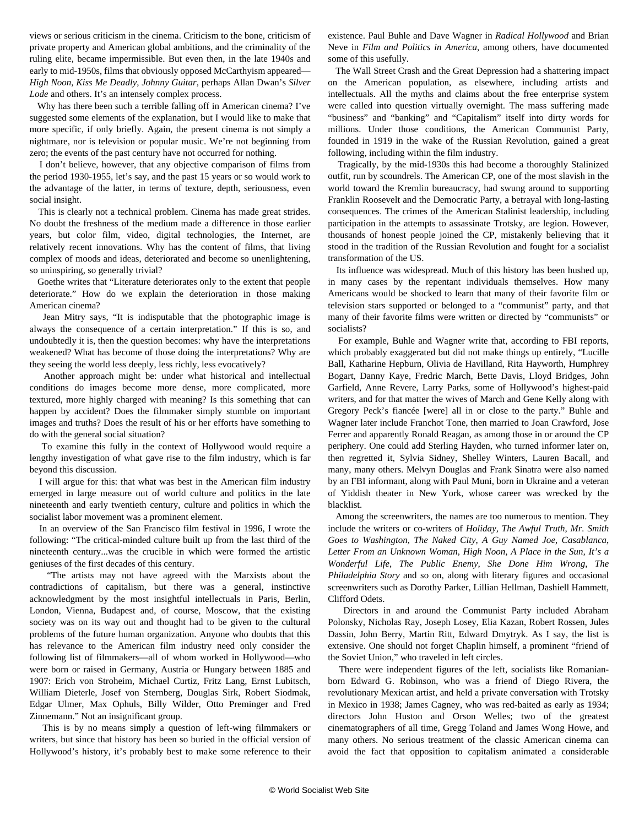views or serious criticism in the cinema. Criticism to the bone, criticism of private property and American global ambitions, and the criminality of the ruling elite, became impermissible. But even then, in the late 1940s and early to mid-1950s, films that obviously opposed McCarthyism appeared— *High Noon*, *Kiss Me Deadly*, *Johnny Guitar*, perhaps Allan Dwan's *Silver Lode* and others. It's an intensely complex process.

 Why has there been such a terrible falling off in American cinema? I've suggested some elements of the explanation, but I would like to make that more specific, if only briefly. Again, the present cinema is not simply a nightmare, nor is television or popular music. We're not beginning from zero; the events of the past century have not occurred for nothing.

 I don't believe, however, that any objective comparison of films from the period 1930-1955, let's say, and the past 15 years or so would work to the advantage of the latter, in terms of texture, depth, seriousness, even social insight.

 This is clearly not a technical problem. Cinema has made great strides. No doubt the freshness of the medium made a difference in those earlier years, but color film, video, digital technologies, the Internet, are relatively recent innovations. Why has the content of films, that living complex of moods and ideas, deteriorated and become so unenlightening, so uninspiring, so generally trivial?

 Goethe writes that "Literature deteriorates only to the extent that people deteriorate." How do we explain the deterioration in those making American cinema?

 Jean Mitry says, "It is indisputable that the photographic image is always the consequence of a certain interpretation." If this is so, and undoubtedly it is, then the question becomes: why have the interpretations weakened? What has become of those doing the interpretations? Why are they seeing the world less deeply, less richly, less evocatively?

 Another approach might be: under what historical and intellectual conditions do images become more dense, more complicated, more textured, more highly charged with meaning? Is this something that can happen by accident? Does the filmmaker simply stumble on important images and truths? Does the result of his or her efforts have something to do with the general social situation?

 To examine this fully in the context of Hollywood would require a lengthy investigation of what gave rise to the film industry, which is far beyond this discussion.

 I will argue for this: that what was best in the American film industry emerged in large measure out of world culture and politics in the late nineteenth and early twentieth century, culture and politics in which the socialist labor movement was a prominent element.

 In an overview of the San Francisco film festival in 1996, I wrote the following: "The critical-minded culture built up from the last third of the nineteenth century...was the crucible in which were formed the artistic geniuses of the first decades of this century.

 "The artists may not have agreed with the Marxists about the contradictions of capitalism, but there was a general, instinctive acknowledgment by the most insightful intellectuals in Paris, Berlin, London, Vienna, Budapest and, of course, Moscow, that the existing society was on its way out and thought had to be given to the cultural problems of the future human organization. Anyone who doubts that this has relevance to the American film industry need only consider the following list of filmmakers—all of whom worked in Hollywood—who were born or raised in Germany, Austria or Hungary between 1885 and 1907: Erich von Stroheim, Michael Curtiz, Fritz Lang, Ernst Lubitsch, William Dieterle, Josef von Sternberg, Douglas Sirk, Robert Siodmak, Edgar Ulmer, Max Ophuls, Billy Wilder, Otto Preminger and Fred Zinnemann." Not an insignificant group.

 This is by no means simply a question of left-wing filmmakers or writers, but since that history has been so buried in the official version of Hollywood's history, it's probably best to make some reference to their existence. Paul Buhle and Dave Wagner in *Radical Hollywood* and Brian Neve in *Film and Politics in America*, among others, have documented some of this usefully.

 The Wall Street Crash and the Great Depression had a shattering impact on the American population, as elsewhere, including artists and intellectuals. All the myths and claims about the free enterprise system were called into question virtually overnight. The mass suffering made "business" and "banking" and "Capitalism" itself into dirty words for millions. Under those conditions, the American Communist Party, founded in 1919 in the wake of the Russian Revolution, gained a great following, including within the film industry.

 Tragically, by the mid-1930s this had become a thoroughly Stalinized outfit, run by scoundrels. The American CP, one of the most slavish in the world toward the Kremlin bureaucracy, had swung around to supporting Franklin Roosevelt and the Democratic Party, a betrayal with long-lasting consequences. The crimes of the American Stalinist leadership, including participation in the attempts to assassinate Trotsky, are legion. However, thousands of honest people joined the CP, mistakenly believing that it stood in the tradition of the Russian Revolution and fought for a socialist transformation of the US.

 Its influence was widespread. Much of this history has been hushed up, in many cases by the repentant individuals themselves. How many Americans would be shocked to learn that many of their favorite film or television stars supported or belonged to a "communist" party, and that many of their favorite films were written or directed by "communists" or socialists?

 For example, Buhle and Wagner write that, according to FBI reports, which probably exaggerated but did not make things up entirely, "Lucille Ball, Katharine Hepburn, Olivia de Havilland, Rita Hayworth, Humphrey Bogart, Danny Kaye, Fredric March, Bette Davis, Lloyd Bridges, John Garfield, Anne Revere, Larry Parks, some of Hollywood's highest-paid writers, and for that matter the wives of March and Gene Kelly along with Gregory Peck's fiancée [were] all in or close to the party." Buhle and Wagner later include Franchot Tone, then married to Joan Crawford, Jose Ferrer and apparently Ronald Reagan, as among those in or around the CP periphery. One could add Sterling Hayden, who turned informer later on, then regretted it, Sylvia Sidney, Shelley Winters, Lauren Bacall, and many, many others. Melvyn Douglas and Frank Sinatra were also named by an FBI informant, along with Paul Muni, born in Ukraine and a veteran of Yiddish theater in New York, whose career was wrecked by the blacklist.

 Among the screenwriters, the names are too numerous to mention. They include the writers or co-writers of *Holiday, The Awful Truth*, *Mr. Smith Goes to Washington, The Naked City*, *A Guy Named Joe*, *Casablanca*, *Letter From an Unknown Woman*, *High Noon*, *A Place in the Sun, It's a Wonderful Life*, *The Public Enemy, She Done Him Wrong*, *The Philadelphia Story* and so on*,* along with literary figures and occasional screenwriters such as Dorothy Parker, Lillian Hellman, Dashiell Hammett, Clifford Odets.

 Directors in and around the Communist Party included Abraham Polonsky, Nicholas Ray, Joseph Losey, Elia Kazan, Robert Rossen, Jules Dassin, John Berry, Martin Ritt, Edward Dmytryk. As I say, the list is extensive. One should not forget Chaplin himself, a prominent "friend of the Soviet Union," who traveled in left circles.

 There were independent figures of the left, socialists like Romanianborn Edward G. Robinson, who was a friend of Diego Rivera, the revolutionary Mexican artist, and held a private conversation with Trotsky in Mexico in 1938; James Cagney, who was red-baited as early as 1934; directors John Huston and Orson Welles; two of the greatest cinematographers of all time, Gregg Toland and James Wong Howe, and many others. No serious treatment of the classic American cinema can avoid the fact that opposition to capitalism animated a considerable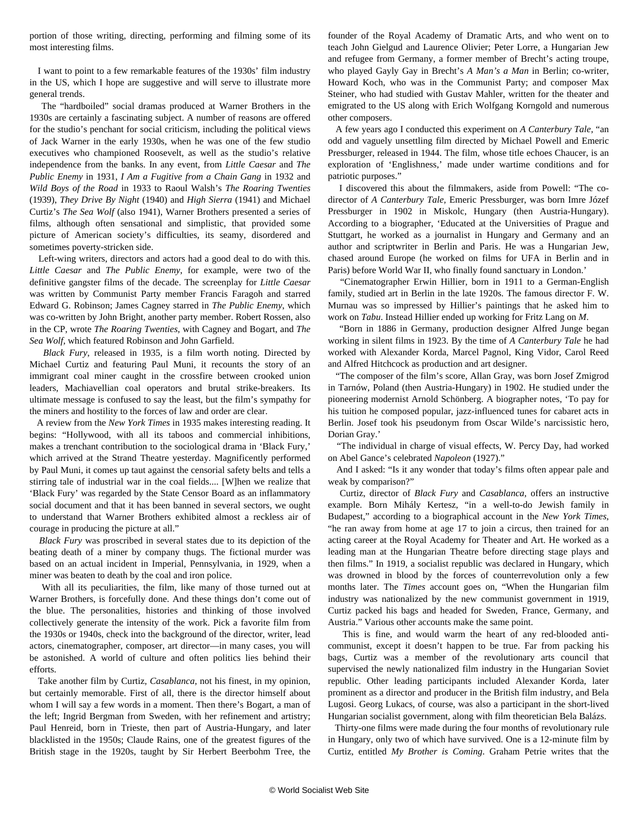portion of those writing, directing, performing and filming some of its most interesting films.

 I want to point to a few remarkable features of the 1930s' film industry in the US, which I hope are suggestive and will serve to illustrate more general trends.

 The "hardboiled" social dramas produced at Warner Brothers in the 1930s are certainly a fascinating subject. A number of reasons are offered for the studio's penchant for social criticism, including the political views of Jack Warner in the early 1930s, when he was one of the few studio executives who championed Roosevelt, as well as the studio's relative independence from the banks. In any event, from *Little Caesar* and *The Public Enemy* in 1931, *I Am a Fugitive from a Chain Gang* in 1932 and *Wild Boys of the Road* in 1933 to Raoul Walsh's *The Roaring Twenties* (1939), *They Drive By Night* (1940) and *High Sierra* (1941) and Michael Curtiz's *The Sea Wolf* (also 1941), Warner Brothers presented a series of films, although often sensational and simplistic, that provided some picture of American society's difficulties, its seamy, disordered and sometimes poverty-stricken side.

 Left-wing writers, directors and actors had a good deal to do with this. *Little Caesar* and *The Public Enemy*, for example, were two of the definitive gangster films of the decade. The screenplay for *Little Caesar* was written by Communist Party member Francis Faragoh and starred Edward G. Robinson; James Cagney starred in *The Public Enemy*, which was co-written by John Bright, another party member. Robert Rossen, also in the CP, wrote *The Roaring Twenties*, with Cagney and Bogart, and *The Sea Wolf*, which featured Robinson and John Garfield.

 *Black Fury*, released in 1935, is a film worth noting. Directed by Michael Curtiz and featuring Paul Muni, it recounts the story of an immigrant coal miner caught in the crossfire between crooked union leaders, Machiavellian coal operators and brutal strike-breakers. Its ultimate message is confused to say the least, but the film's sympathy for the miners and hostility to the forces of law and order are clear.

 A review from the *New York Times* in 1935 makes interesting reading. It begins: "Hollywood, with all its taboos and commercial inhibitions, makes a trenchant contribution to the sociological drama in 'Black Fury,' which arrived at the Strand Theatre yesterday. Magnificently performed by Paul Muni, it comes up taut against the censorial safety belts and tells a stirring tale of industrial war in the coal fields.... [W]hen we realize that 'Black Fury' was regarded by the State Censor Board as an inflammatory social document and that it has been banned in several sectors, we ought to understand that Warner Brothers exhibited almost a reckless air of courage in producing the picture at all."

 *Black Fury* was proscribed in several states due to its depiction of the beating death of a miner by company thugs. The fictional murder was based on an actual incident in Imperial, Pennsylvania, in 1929, when a miner was beaten to death by the coal and iron police.

 With all its peculiarities, the film, like many of those turned out at Warner Brothers, is forcefully done. And these things don't come out of the blue. The personalities, histories and thinking of those involved collectively generate the intensity of the work. Pick a favorite film from the 1930s or 1940s, check into the background of the director, writer, lead actors, cinematographer, composer, art director—in many cases, you will be astonished. A world of culture and often politics lies behind their efforts.

 Take another film by Curtiz, *Casablanca*, not his finest, in my opinion, but certainly memorable. First of all, there is the director himself about whom I will say a few words in a moment. Then there's Bogart, a man of the left; Ingrid Bergman from Sweden, with her refinement and artistry; Paul Henreid, born in Trieste, then part of Austria-Hungary, and later blacklisted in the 1950s; Claude Rains, one of the greatest figures of the British stage in the 1920s, taught by Sir Herbert Beerbohm Tree, the

founder of the Royal Academy of Dramatic Arts, and who went on to teach John Gielgud and Laurence Olivier; Peter Lorre, a Hungarian Jew and refugee from Germany, a former member of Brecht's acting troupe, who played Gayly Gay in Brecht's *A Man's a Man* in Berlin; co-writer, Howard Koch, who was in the Communist Party; and composer Max Steiner, who had studied with Gustav Mahler, written for the theater and emigrated to the US along with Erich Wolfgang Korngold and numerous other composers.

 A few years ago I conducted this experiment on *A Canterbury Tale*, "an odd and vaguely unsettling film directed by Michael Powell and Emeric Pressburger, released in 1944. The film, whose title echoes Chaucer, is an exploration of 'Englishness,' made under wartime conditions and for patriotic purposes."

 I discovered this about the filmmakers, aside from Powell: "The codirector of *A Canterbury Tale,* Emeric Pressburger, was born Imre Józef Pressburger in 1902 in Miskolc, Hungary (then Austria-Hungary). According to a biographer, 'Educated at the Universities of Prague and Stuttgart, he worked as a journalist in Hungary and Germany and an author and scriptwriter in Berlin and Paris. He was a Hungarian Jew, chased around Europe (he worked on films for UFA in Berlin and in Paris) before World War II, who finally found sanctuary in London.'

 "Cinematographer Erwin Hillier, born in 1911 to a German-English family, studied art in Berlin in the late 1920s. The famous director F. W. Murnau was so impressed by Hillier's paintings that he asked him to work on *Tabu*. Instead Hillier ended up working for Fritz Lang on *M*.

 "Born in 1886 in Germany, production designer Alfred Junge began working in silent films in 1923. By the time of *A Canterbury Tale* he had worked with Alexander Korda, Marcel Pagnol, King Vidor, Carol Reed and Alfred Hitchcock as production and art designer.

 "The composer of the film's score, Allan Gray, was born Josef Zmigrod in Tarnów, Poland (then Austria-Hungary) in 1902. He studied under the pioneering modernist Arnold Schönberg. A biographer notes, 'To pay for his tuition he composed popular, jazz-influenced tunes for cabaret acts in Berlin. Josef took his pseudonym from Oscar Wilde's narcissistic hero, Dorian Gray.'

 "The individual in charge of visual effects, W. Percy Day, had worked on Abel Gance's celebrated *Napoleon* (1927)."

 And I asked: "Is it any wonder that today's films often appear pale and weak by comparison?"

 Curtiz, director of *Black Fury* and *Casablanca*, offers an instructive example. Born Mihály Kertesz, "in a well-to-do Jewish family in Budapest," according to a biographical account in the *New York Times*, "he ran away from home at age 17 to join a circus, then trained for an acting career at the Royal Academy for Theater and Art. He worked as a leading man at the Hungarian Theatre before directing stage plays and then films." In 1919, a socialist republic was declared in Hungary, which was drowned in blood by the forces of counterrevolution only a few months later. The *Times* account goes on, "When the Hungarian film industry was nationalized by the new communist government in 1919, Curtiz packed his bags and headed for Sweden, France, Germany, and Austria." Various other accounts make the same point.

 This is fine, and would warm the heart of any red-blooded anticommunist, except it doesn't happen to be true. Far from packing his bags, Curtiz was a member of the revolutionary arts council that supervised the newly nationalized film industry in the Hungarian Soviet republic. Other leading participants included Alexander Korda, later prominent as a director and producer in the British film industry, and Bela Lugosi. Georg Lukacs, of course, was also a participant in the short-lived Hungarian socialist government, along with film theoretician Bela Balázs.

 Thirty-one films were made during the four months of revolutionary rule in Hungary, only two of which have survived. One is a 12-minute film by Curtiz, entitled *My Brother is Coming*. Graham Petrie writes that the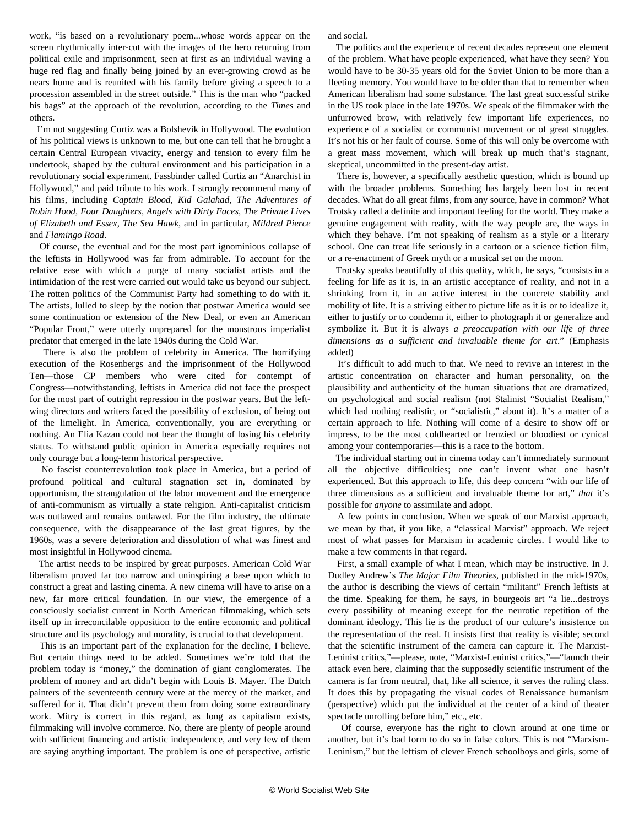work, "is based on a revolutionary poem...whose words appear on the screen rhythmically inter-cut with the images of the hero returning from political exile and imprisonment, seen at first as an individual waving a huge red flag and finally being joined by an ever-growing crowd as he nears home and is reunited with his family before giving a speech to a procession assembled in the street outside." This is the man who "packed his bags" at the approach of the revolution, according to the *Times* and others.

 I'm not suggesting Curtiz was a Bolshevik in Hollywood. The evolution of his political views is unknown to me, but one can tell that he brought a certain Central European vivacity, energy and tension to every film he undertook, shaped by the cultural environment and his participation in a revolutionary social experiment. Fassbinder called Curtiz an "Anarchist in Hollywood," and paid tribute to his work. I strongly recommend many of his films, including *Captain Blood, Kid Galahad, The Adventures of Robin Hood, Four Daughters, Angels with Dirty Faces, The Private Lives of Elizabeth and Essex, The Sea Hawk*, and in particular, *Mildred Pierce* and *Flamingo Road*.

 Of course, the eventual and for the most part ignominious collapse of the leftists in Hollywood was far from admirable. To account for the relative ease with which a purge of many socialist artists and the intimidation of the rest were carried out would take us beyond our subject. The rotten politics of the Communist Party had something to do with it. The artists, lulled to sleep by the notion that postwar America would see some continuation or extension of the New Deal, or even an American "Popular Front," were utterly unprepared for the monstrous imperialist predator that emerged in the late 1940s during the Cold War.

 There is also the problem of celebrity in America. The horrifying execution of the Rosenbergs and the imprisonment of the Hollywood Ten—those CP members who were cited for contempt of Congress—notwithstanding, leftists in America did not face the prospect for the most part of outright repression in the postwar years. But the leftwing directors and writers faced the possibility of exclusion, of being out of the limelight. In America, conventionally, you are everything or nothing. An Elia Kazan could not bear the thought of losing his celebrity status. To withstand public opinion in America especially requires not only courage but a long-term historical perspective.

 No fascist counterrevolution took place in America, but a period of profound political and cultural stagnation set in, dominated by opportunism, the strangulation of the labor movement and the emergence of anti-communism as virtually a state religion. Anti-capitalist criticism was outlawed and remains outlawed. For the film industry, the ultimate consequence, with the disappearance of the last great figures, by the 1960s, was a severe deterioration and dissolution of what was finest and most insightful in Hollywood cinema.

 The artist needs to be inspired by great purposes. American Cold War liberalism proved far too narrow and uninspiring a base upon which to construct a great and lasting cinema. A new cinema will have to arise on a new, far more critical foundation. In our view, the emergence of a consciously socialist current in North American filmmaking, which sets itself up in irreconcilable opposition to the entire economic and political structure and its psychology and morality, is crucial to that development.

 This is an important part of the explanation for the decline, I believe. But certain things need to be added. Sometimes we're told that the problem today is "money," the domination of giant conglomerates. The problem of money and art didn't begin with Louis B. Mayer. The Dutch painters of the seventeenth century were at the mercy of the market, and suffered for it. That didn't prevent them from doing some extraordinary work. Mitry is correct in this regard, as long as capitalism exists, filmmaking will involve commerce. No, there are plenty of people around with sufficient financing and artistic independence, and very few of them are saying anything important. The problem is one of perspective, artistic and social.

 The politics and the experience of recent decades represent one element of the problem. What have people experienced, what have they seen? You would have to be 30-35 years old for the Soviet Union to be more than a fleeting memory. You would have to be older than that to remember when American liberalism had some substance. The last great successful strike in the US took place in the late 1970s. We speak of the filmmaker with the unfurrowed brow, with relatively few important life experiences, no experience of a socialist or communist movement or of great struggles. It's not his or her fault of course. Some of this will only be overcome with a great mass movement, which will break up much that's stagnant, skeptical, uncommitted in the present-day artist.

 There is, however, a specifically aesthetic question, which is bound up with the broader problems. Something has largely been lost in recent decades. What do all great films, from any source, have in common? What Trotsky called a definite and important feeling for the world. They make a genuine engagement with reality, with the way people are, the ways in which they behave. I'm not speaking of realism as a style or a literary school. One can treat life seriously in a cartoon or a science fiction film, or a re-enactment of Greek myth or a musical set on the moon.

 Trotsky speaks beautifully of this quality, which, he says, "consists in a feeling for life as it is, in an artistic acceptance of reality, and not in a shrinking from it, in an active interest in the concrete stability and mobility of life. It is a striving either to picture life as it is or to idealize it, either to justify or to condemn it, either to photograph it or generalize and symbolize it. But it is always *a preoccupation with our life of three dimensions as a sufficient and invaluable theme for art*." (Emphasis added)

 It's difficult to add much to that. We need to revive an interest in the artistic concentration on character and human personality, on the plausibility and authenticity of the human situations that are dramatized, on psychological and social realism (not Stalinist "Socialist Realism," which had nothing realistic, or "socialistic," about it). It's a matter of a certain approach to life. Nothing will come of a desire to show off or impress, to be the most coldhearted or frenzied or bloodiest or cynical among your contemporaries—this is a race to the bottom.

 The individual starting out in cinema today can't immediately surmount all the objective difficulties; one can't invent what one hasn't experienced. But this approach to life, this deep concern "with our life of three dimensions as a sufficient and invaluable theme for art," *that* it's possible for *anyone* to assimilate and adopt.

 A few points in conclusion. When we speak of our Marxist approach, we mean by that, if you like, a "classical Marxist" approach. We reject most of what passes for Marxism in academic circles. I would like to make a few comments in that regard.

 First, a small example of what I mean, which may be instructive. In J. Dudley Andrew's *The Major Film Theories*, published in the mid-1970s, the author is describing the views of certain "militant" French leftists at the time. Speaking for them, he says, in bourgeois art "a lie...destroys every possibility of meaning except for the neurotic repetition of the dominant ideology. This lie is the product of our culture's insistence on the representation of the real. It insists first that reality is visible; second that the scientific instrument of the camera can capture it. The Marxist-Leninist critics,"—please, note, "Marxist-Leninist critics,"—"launch their attack even here, claiming that the supposedly scientific instrument of the camera is far from neutral, that, like all science, it serves the ruling class. It does this by propagating the visual codes of Renaissance humanism (perspective) which put the individual at the center of a kind of theater spectacle unrolling before him," etc., etc.

 Of course, everyone has the right to clown around at one time or another, but it's bad form to do so in false colors. This is not "Marxism-Leninism," but the leftism of clever French schoolboys and girls, some of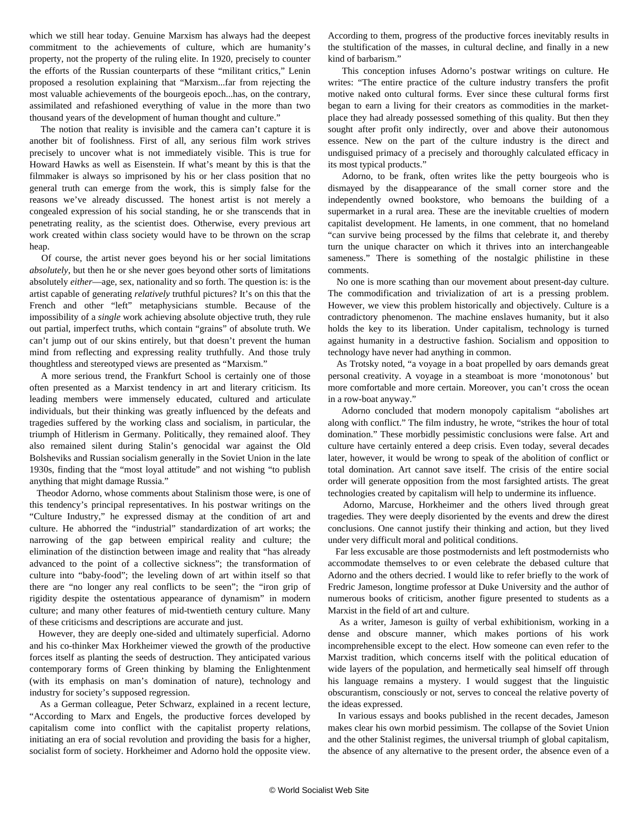which we still hear today. Genuine Marxism has always had the deepest commitment to the achievements of culture, which are humanity's property, not the property of the ruling elite. In 1920, precisely to counter the efforts of the Russian counterparts of these "militant critics," Lenin proposed a resolution explaining that "Marxism...far from rejecting the most valuable achievements of the bourgeois epoch...has, on the contrary, assimilated and refashioned everything of value in the more than two thousand years of the development of human thought and culture."

 The notion that reality is invisible and the camera can't capture it is another bit of foolishness. First of all, any serious film work strives precisely to uncover what is not immediately visible. This is true for Howard Hawks as well as Eisenstein. If what's meant by this is that the filmmaker is always so imprisoned by his or her class position that no general truth can emerge from the work, this is simply false for the reasons we've already discussed. The honest artist is not merely a congealed expression of his social standing, he or she transcends that in penetrating reality, as the scientist does. Otherwise, every previous art work created within class society would have to be thrown on the scrap heap.

 Of course, the artist never goes beyond his or her social limitations *absolutely*, but then he or she never goes beyond other sorts of limitations absolutely *either*—age, sex, nationality and so forth. The question is: is the artist capable of generating *relatively* truthful pictures? It's on this that the French and other "left" metaphysicians stumble. Because of the impossibility of a *single* work achieving absolute objective truth, they rule out partial, imperfect truths, which contain "grains" of absolute truth. We can't jump out of our skins entirely, but that doesn't prevent the human mind from reflecting and expressing reality truthfully. And those truly thoughtless and stereotyped views are presented as "Marxism."

 A more serious trend, the Frankfurt School is certainly one of those often presented as a Marxist tendency in art and literary criticism. Its leading members were immensely educated, cultured and articulate individuals, but their thinking was greatly influenced by the defeats and tragedies suffered by the working class and socialism, in particular, the triumph of Hitlerism in Germany. Politically, they remained aloof. They also remained silent during Stalin's genocidal war against the Old Bolsheviks and Russian socialism generally in the Soviet Union in the late 1930s, finding that the "most loyal attitude" and not wishing "to publish anything that might damage Russia."

 Theodor Adorno, whose comments about Stalinism those were, is one of this tendency's principal representatives. In his postwar writings on the "Culture Industry," he expressed dismay at the condition of art and culture. He abhorred the "industrial" standardization of art works; the narrowing of the gap between empirical reality and culture; the elimination of the distinction between image and reality that "has already advanced to the point of a collective sickness"; the transformation of culture into "baby-food"; the leveling down of art within itself so that there are "no longer any real conflicts to be seen"; the "iron grip of rigidity despite the ostentatious appearance of dynamism" in modern culture; and many other features of mid-twentieth century culture. Many of these criticisms and descriptions are accurate and just.

 However, they are deeply one-sided and ultimately superficial. Adorno and his co-thinker Max Horkheimer viewed the growth of the productive forces itself as planting the seeds of destruction. They anticipated various contemporary forms of Green thinking by blaming the Enlightenment (with its emphasis on man's domination of nature), technology and industry for society's supposed regression.

 As a German colleague, Peter Schwarz, explained in a recent lecture, "According to Marx and Engels, the productive forces developed by capitalism come into conflict with the capitalist property relations, initiating an era of social revolution and providing the basis for a higher, socialist form of society. Horkheimer and Adorno hold the opposite view.

According to them, progress of the productive forces inevitably results in the stultification of the masses, in cultural decline, and finally in a new kind of barbarism."

 This conception infuses Adorno's postwar writings on culture. He writes: "The entire practice of the culture industry transfers the profit motive naked onto cultural forms. Ever since these cultural forms first began to earn a living for their creators as commodities in the marketplace they had already possessed something of this quality. But then they sought after profit only indirectly, over and above their autonomous essence. New on the part of the culture industry is the direct and undisguised primacy of a precisely and thoroughly calculated efficacy in its most typical products."

 Adorno, to be frank, often writes like the petty bourgeois who is dismayed by the disappearance of the small corner store and the independently owned bookstore, who bemoans the building of a supermarket in a rural area. These are the inevitable cruelties of modern capitalist development. He laments, in one comment, that no homeland "can survive being processed by the films that celebrate it, and thereby turn the unique character on which it thrives into an interchangeable sameness." There is something of the nostalgic philistine in these comments.

 No one is more scathing than our movement about present-day culture. The commodification and trivialization of art is a pressing problem. However, we view this problem historically and objectively. Culture is a contradictory phenomenon. The machine enslaves humanity, but it also holds the key to its liberation. Under capitalism, technology is turned against humanity in a destructive fashion. Socialism and opposition to technology have never had anything in common.

 As Trotsky noted, "a voyage in a boat propelled by oars demands great personal creativity. A voyage in a steamboat is more 'monotonous' but more comfortable and more certain. Moreover, you can't cross the ocean in a row-boat anyway."

 Adorno concluded that modern monopoly capitalism "abolishes art along with conflict." The film industry, he wrote, "strikes the hour of total domination." These morbidly pessimistic conclusions were false. Art and culture have certainly entered a deep crisis. Even today, several decades later, however, it would be wrong to speak of the abolition of conflict or total domination. Art cannot save itself. The crisis of the entire social order will generate opposition from the most farsighted artists. The great technologies created by capitalism will help to undermine its influence.

 Adorno, Marcuse, Horkheimer and the others lived through great tragedies. They were deeply disoriented by the events and drew the direst conclusions. One cannot justify their thinking and action, but they lived under very difficult moral and political conditions.

 Far less excusable are those postmodernists and left postmodernists who accommodate themselves to or even celebrate the debased culture that Adorno and the others decried. I would like to refer briefly to the work of Fredric Jameson, longtime professor at Duke University and the author of numerous books of criticism, another figure presented to students as a Marxist in the field of art and culture.

 As a writer, Jameson is guilty of verbal exhibitionism, working in a dense and obscure manner, which makes portions of his work incomprehensible except to the elect. How someone can even refer to the Marxist tradition, which concerns itself with the political education of wide layers of the population, and hermetically seal himself off through his language remains a mystery. I would suggest that the linguistic obscurantism, consciously or not, serves to conceal the relative poverty of the ideas expressed.

 In various essays and books published in the recent decades, Jameson makes clear his own morbid pessimism. The collapse of the Soviet Union and the other Stalinist regimes, the universal triumph of global capitalism, the absence of any alternative to the present order, the absence even of a